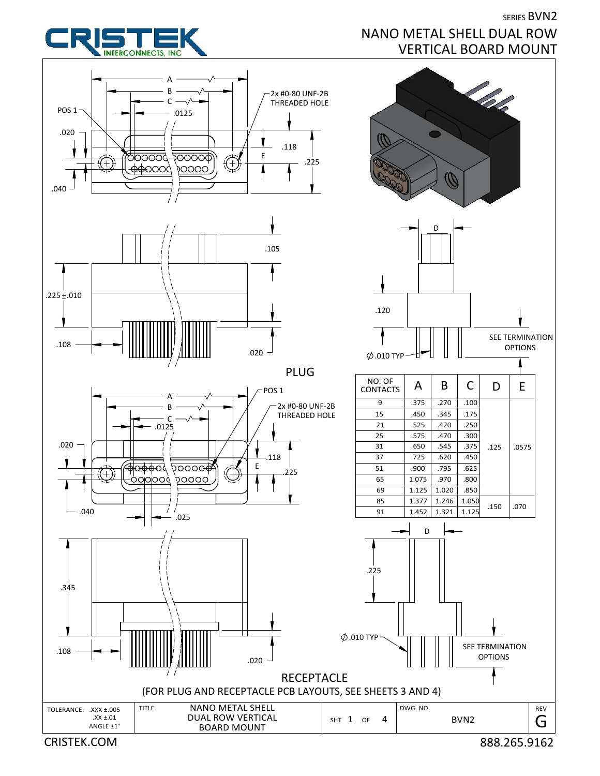



SHT 1 OF 4

NANO METAL SHELL DUAL ROW VERTICAL BOARD MOUNT

CRISTEK.COM 888.265.9162

SERIES BVN2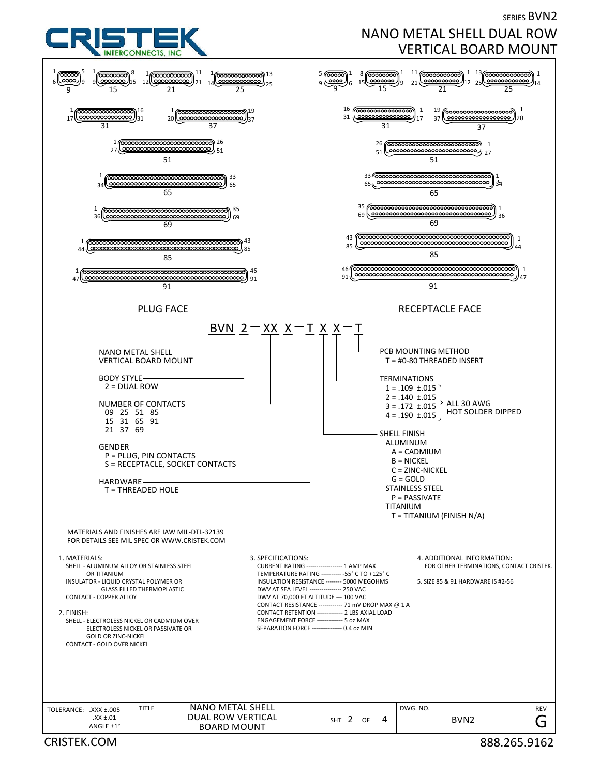SERIES BVN2



## NANO METAL SHELL DUAL ROW VERTICAL BOARD MOUNT

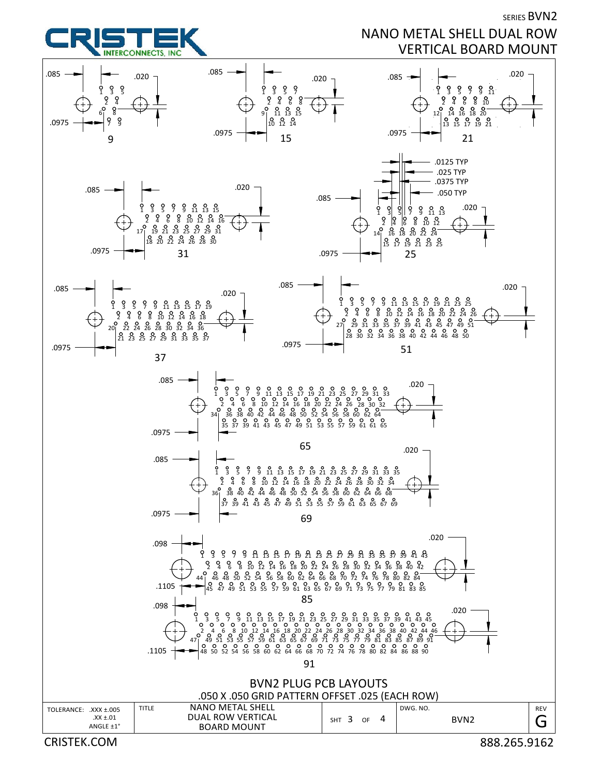

SERIES BVN2